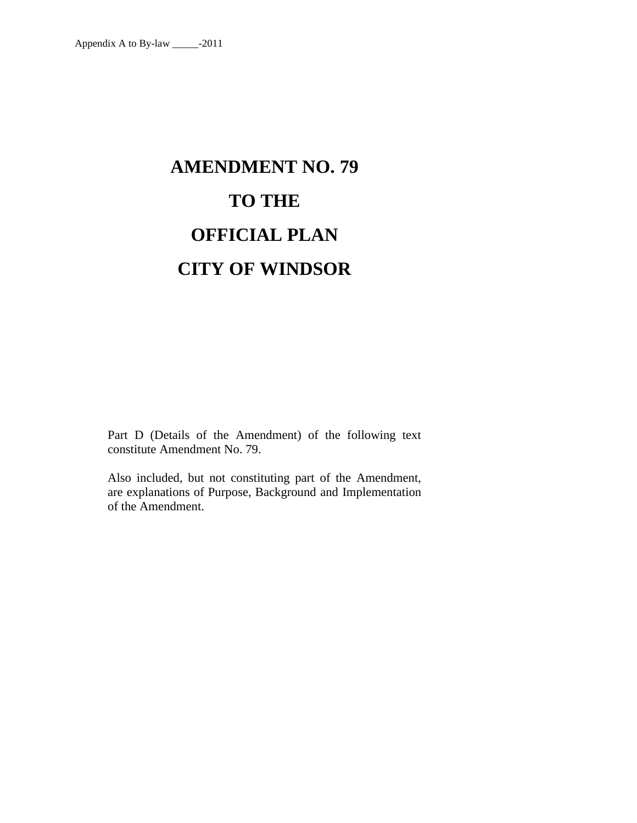# **AMENDMENT NO. 79 TO THE OFFICIAL PLAN CITY OF WINDSOR**

Part D (Details of the Amendment) of the following text constitute Amendment No. 79.

Also included, but not constituting part of the Amendment, are explanations of Purpose, Background and Implementation of the Amendment.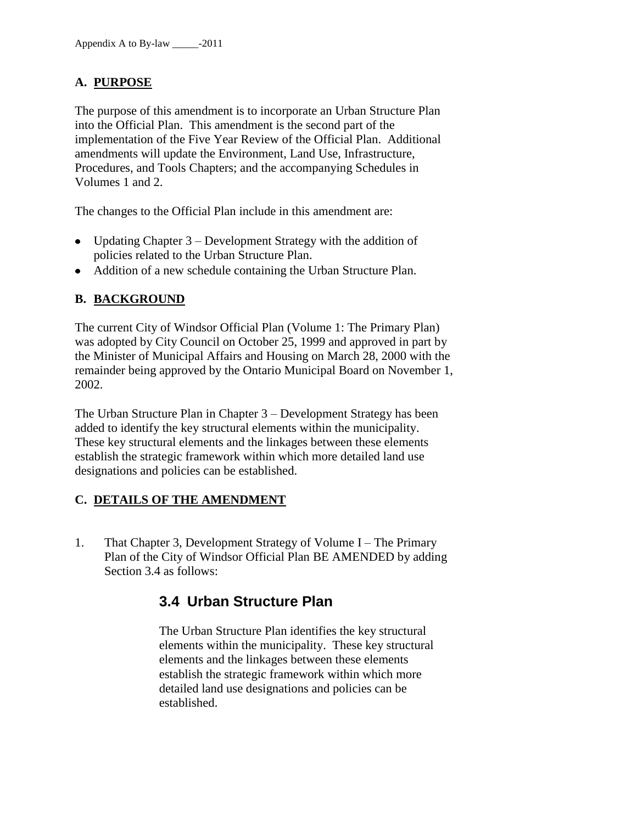## **A. PURPOSE**

The purpose of this amendment is to incorporate an Urban Structure Plan into the Official Plan. This amendment is the second part of the implementation of the Five Year Review of the Official Plan. Additional amendments will update the Environment, Land Use, Infrastructure, Procedures, and Tools Chapters; and the accompanying Schedules in Volumes 1 and 2.

The changes to the Official Plan include in this amendment are:

- Updating Chapter  $3$  Development Strategy with the addition of policies related to the Urban Structure Plan.
- Addition of a new schedule containing the Urban Structure Plan.

## **B. BACKGROUND**

The current City of Windsor Official Plan (Volume 1: The Primary Plan) was adopted by City Council on October 25, 1999 and approved in part by the Minister of Municipal Affairs and Housing on March 28, 2000 with the remainder being approved by the Ontario Municipal Board on November 1, 2002.

The Urban Structure Plan in Chapter 3 – Development Strategy has been added to identify the key structural elements within the municipality. These key structural elements and the linkages between these elements establish the strategic framework within which more detailed land use designations and policies can be established.

### **C. DETAILS OF THE AMENDMENT**

1. That Chapter 3, Development Strategy of Volume I – The Primary Plan of the City of Windsor Official Plan BE AMENDED by adding Section 3.4 as follows:

# **3.4 Urban Structure Plan**

The Urban Structure Plan identifies the key structural elements within the municipality. These key structural elements and the linkages between these elements establish the strategic framework within which more detailed land use designations and policies can be established.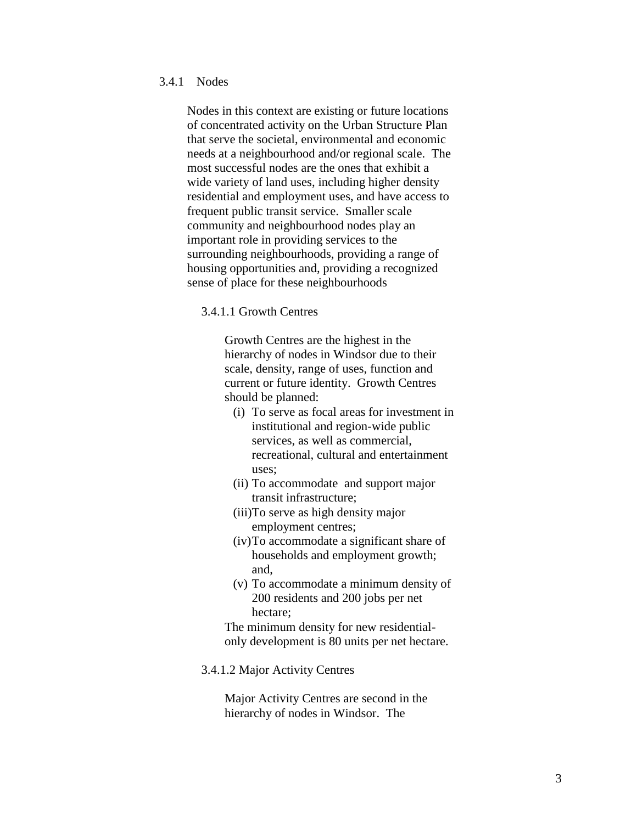#### 3.4.1 Nodes

Nodes in this context are existing or future locations of concentrated activity on the Urban Structure Plan that serve the societal, environmental and economic needs at a neighbourhood and/or regional scale. The most successful nodes are the ones that exhibit a wide variety of land uses, including higher density residential and employment uses, and have access to frequent public transit service. Smaller scale community and neighbourhood nodes play an important role in providing services to the surrounding neighbourhoods, providing a range of housing opportunities and, providing a recognized sense of place for these neighbourhoods

#### 3.4.1.1 Growth Centres

Growth Centres are the highest in the hierarchy of nodes in Windsor due to their scale, density, range of uses, function and current or future identity. Growth Centres should be planned:

- (i) To serve as focal areas for investment in institutional and region-wide public services, as well as commercial, recreational, cultural and entertainment uses;
- (ii) To accommodate and support major transit infrastructure;
- (iii)To serve as high density major employment centres;
- (iv)To accommodate a significant share of households and employment growth; and,
- (v) To accommodate a minimum density of 200 residents and 200 jobs per net hectare;

The minimum density for new residentialonly development is 80 units per net hectare.

3.4.1.2 Major Activity Centres

Major Activity Centres are second in the hierarchy of nodes in Windsor. The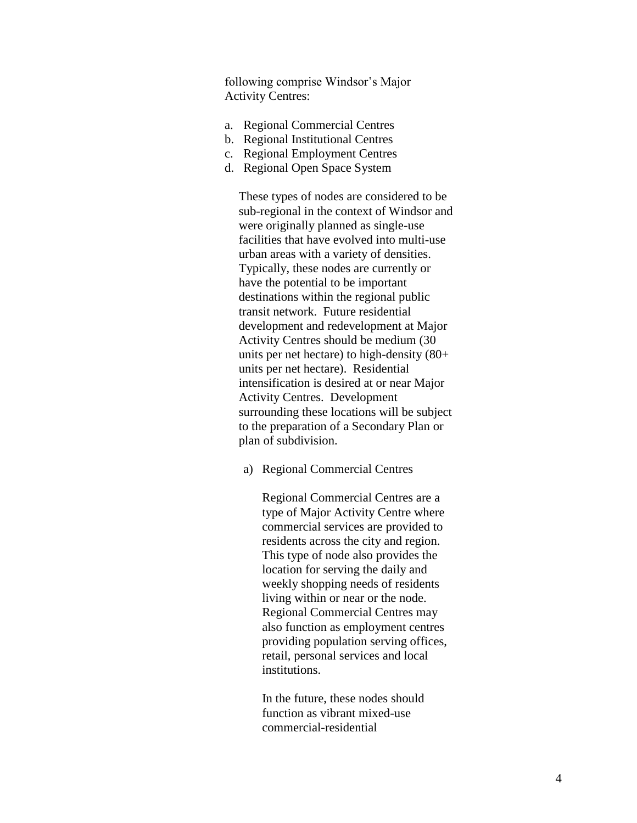following comprise Windsor's Major Activity Centres:

- a. Regional Commercial Centres
- b. Regional Institutional Centres
- c. Regional Employment Centres
- d. Regional Open Space System

These types of nodes are considered to be sub-regional in the context of Windsor and were originally planned as single-use facilities that have evolved into multi-use urban areas with a variety of densities. Typically, these nodes are currently or have the potential to be important destinations within the regional public transit network. Future residential development and redevelopment at Major Activity Centres should be medium (30 units per net hectare) to high-density (80+ units per net hectare). Residential intensification is desired at or near Major Activity Centres. Development surrounding these locations will be subject to the preparation of a Secondary Plan or plan of subdivision.

a) Regional Commercial Centres

Regional Commercial Centres are a type of Major Activity Centre where commercial services are provided to residents across the city and region. This type of node also provides the location for serving the daily and weekly shopping needs of residents living within or near or the node. Regional Commercial Centres may also function as employment centres providing population serving offices, retail, personal services and local institutions.

In the future, these nodes should function as vibrant mixed-use commercial-residential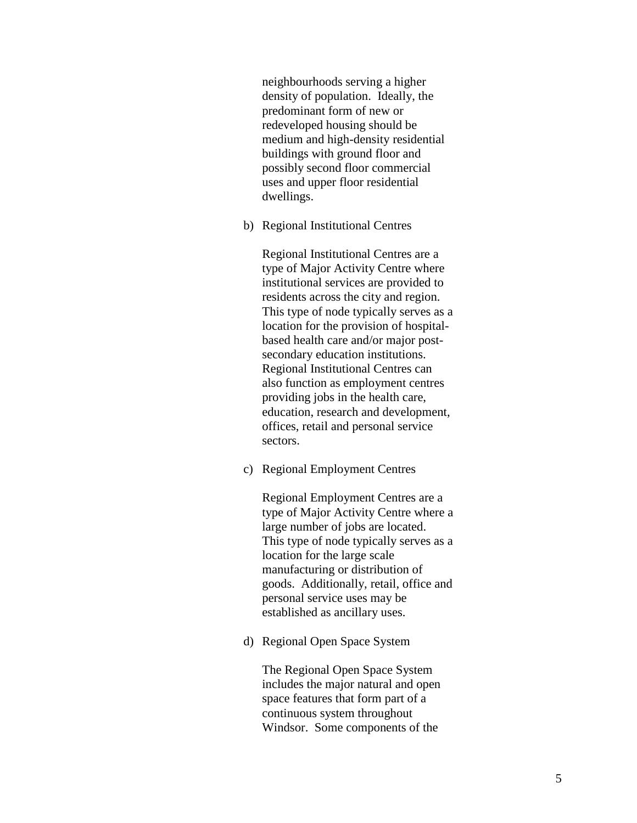neighbourhoods serving a higher density of population. Ideally, the predominant form of new or redeveloped housing should be medium and high-density residential buildings with ground floor and possibly second floor commercial uses and upper floor residential dwellings.

b) Regional Institutional Centres

Regional Institutional Centres are a type of Major Activity Centre where institutional services are provided to residents across the city and region. This type of node typically serves as a location for the provision of hospitalbased health care and/or major postsecondary education institutions. Regional Institutional Centres can also function as employment centres providing jobs in the health care, education, research and development, offices, retail and personal service sectors.

c) Regional Employment Centres

Regional Employment Centres are a type of Major Activity Centre where a large number of jobs are located. This type of node typically serves as a location for the large scale manufacturing or distribution of goods. Additionally, retail, office and personal service uses may be established as ancillary uses.

d) Regional Open Space System

The Regional Open Space System includes the major natural and open space features that form part of a continuous system throughout Windsor. Some components of the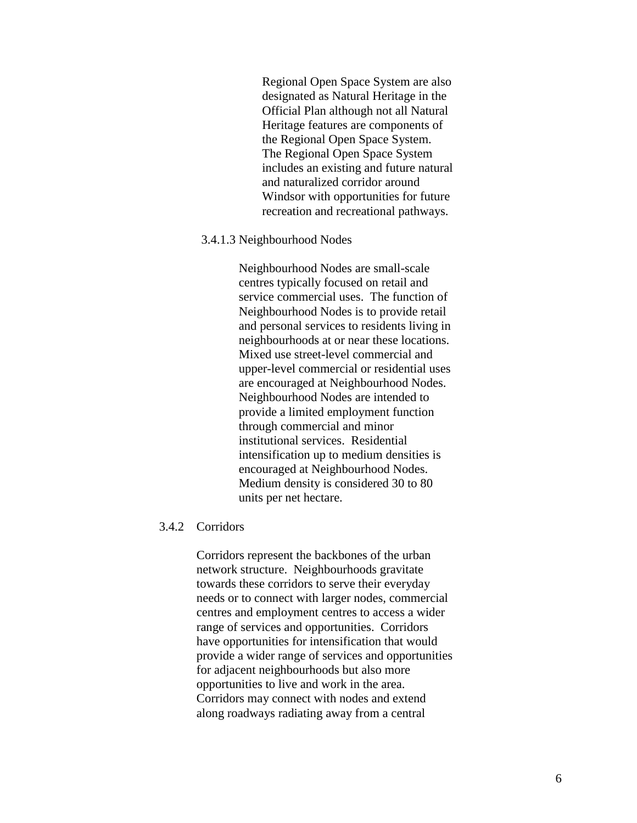Regional Open Space System are also designated as Natural Heritage in the Official Plan although not all Natural Heritage features are components of the Regional Open Space System. The Regional Open Space System includes an existing and future natural and naturalized corridor around Windsor with opportunities for future recreation and recreational pathways.

#### 3.4.1.3 Neighbourhood Nodes

Neighbourhood Nodes are small-scale centres typically focused on retail and service commercial uses. The function of Neighbourhood Nodes is to provide retail and personal services to residents living in neighbourhoods at or near these locations. Mixed use street-level commercial and upper-level commercial or residential uses are encouraged at Neighbourhood Nodes. Neighbourhood Nodes are intended to provide a limited employment function through commercial and minor institutional services. Residential intensification up to medium densities is encouraged at Neighbourhood Nodes. Medium density is considered 30 to 80 units per net hectare.

#### 3.4.2 Corridors

Corridors represent the backbones of the urban network structure. Neighbourhoods gravitate towards these corridors to serve their everyday needs or to connect with larger nodes, commercial centres and employment centres to access a wider range of services and opportunities. Corridors have opportunities for intensification that would provide a wider range of services and opportunities for adjacent neighbourhoods but also more opportunities to live and work in the area. Corridors may connect with nodes and extend along roadways radiating away from a central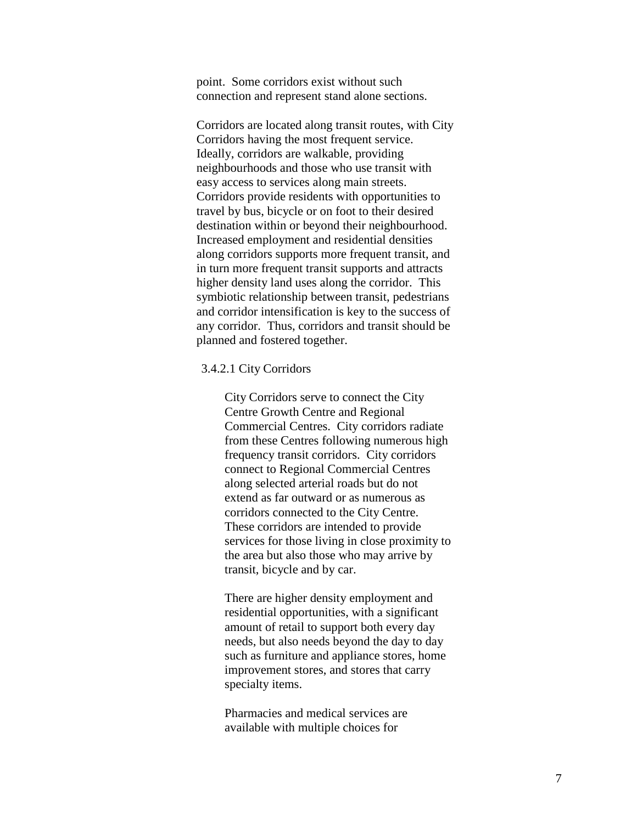point. Some corridors exist without such connection and represent stand alone sections.

Corridors are located along transit routes, with City Corridors having the most frequent service. Ideally, corridors are walkable, providing neighbourhoods and those who use transit with easy access to services along main streets. Corridors provide residents with opportunities to travel by bus, bicycle or on foot to their desired destination within or beyond their neighbourhood. Increased employment and residential densities along corridors supports more frequent transit, and in turn more frequent transit supports and attracts higher density land uses along the corridor. This symbiotic relationship between transit, pedestrians and corridor intensification is key to the success of any corridor. Thus, corridors and transit should be planned and fostered together.

#### 3.4.2.1 City Corridors

City Corridors serve to connect the City Centre Growth Centre and Regional Commercial Centres. City corridors radiate from these Centres following numerous high frequency transit corridors. City corridors connect to Regional Commercial Centres along selected arterial roads but do not extend as far outward or as numerous as corridors connected to the City Centre. These corridors are intended to provide services for those living in close proximity to the area but also those who may arrive by transit, bicycle and by car.

There are higher density employment and residential opportunities, with a significant amount of retail to support both every day needs, but also needs beyond the day to day such as furniture and appliance stores, home improvement stores, and stores that carry specialty items.

Pharmacies and medical services are available with multiple choices for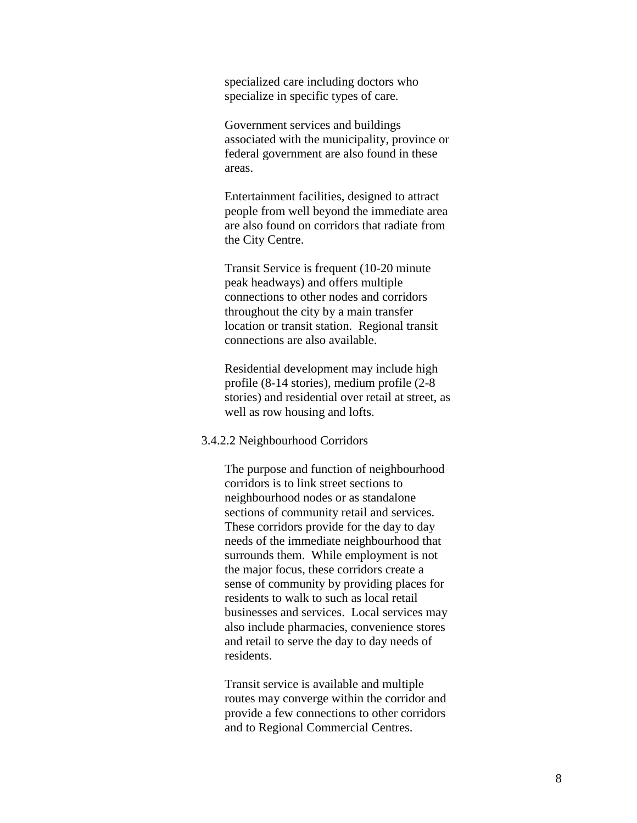specialized care including doctors who specialize in specific types of care.

Government services and buildings associated with the municipality, province or federal government are also found in these areas.

Entertainment facilities, designed to attract people from well beyond the immediate area are also found on corridors that radiate from the City Centre.

Transit Service is frequent (10-20 minute peak headways) and offers multiple connections to other nodes and corridors throughout the city by a main transfer location or transit station. Regional transit connections are also available.

Residential development may include high profile (8-14 stories), medium profile (2-8 stories) and residential over retail at street, as well as row housing and lofts.

#### 3.4.2.2 Neighbourhood Corridors

The purpose and function of neighbourhood corridors is to link street sections to neighbourhood nodes or as standalone sections of community retail and services. These corridors provide for the day to day needs of the immediate neighbourhood that surrounds them. While employment is not the major focus, these corridors create a sense of community by providing places for residents to walk to such as local retail businesses and services. Local services may also include pharmacies, convenience stores and retail to serve the day to day needs of residents.

Transit service is available and multiple routes may converge within the corridor and provide a few connections to other corridors and to Regional Commercial Centres.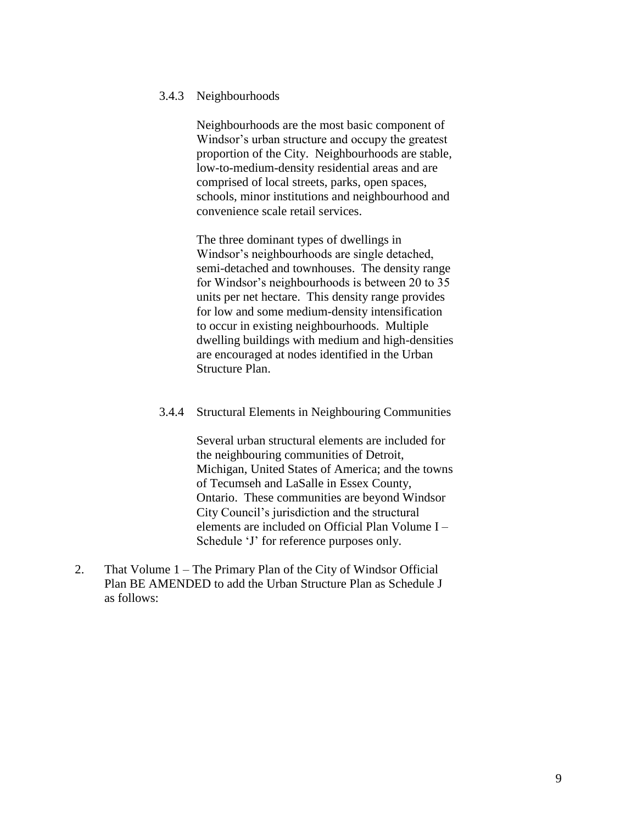#### 3.4.3 Neighbourhoods

Neighbourhoods are the most basic component of Windsor's urban structure and occupy the greatest proportion of the City. Neighbourhoods are stable, low-to-medium-density residential areas and are comprised of local streets, parks, open spaces, schools, minor institutions and neighbourhood and convenience scale retail services.

The three dominant types of dwellings in Windsor's neighbourhoods are single detached, semi-detached and townhouses. The density range for Windsor's neighbourhoods is between 20 to 35 units per net hectare. This density range provides for low and some medium-density intensification to occur in existing neighbourhoods. Multiple dwelling buildings with medium and high-densities are encouraged at nodes identified in the Urban Structure Plan.

#### 3.4.4 Structural Elements in Neighbouring Communities

Several urban structural elements are included for the neighbouring communities of Detroit, Michigan, United States of America; and the towns of Tecumseh and LaSalle in Essex County, Ontario. These communities are beyond Windsor City Council's jurisdiction and the structural elements are included on Official Plan Volume I – Schedule 'J' for reference purposes only.

2. That Volume 1 – The Primary Plan of the City of Windsor Official Plan BE AMENDED to add the Urban Structure Plan as Schedule J as follows: